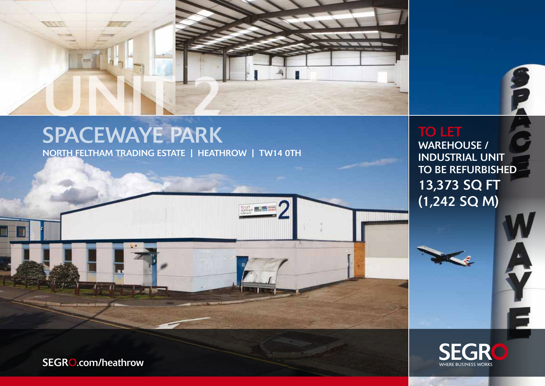

**Rail Latin** 

# SPACEWAYE PARK

North feltham trading estate | heathrow | TW14 0TH

TO LET WAREHOUSE / industrial unit to be refurbished 13,373 SQ FT  $(1,242$  SQ M)

€



SEGRO.com/heathrow

 $\mathbf{r}$